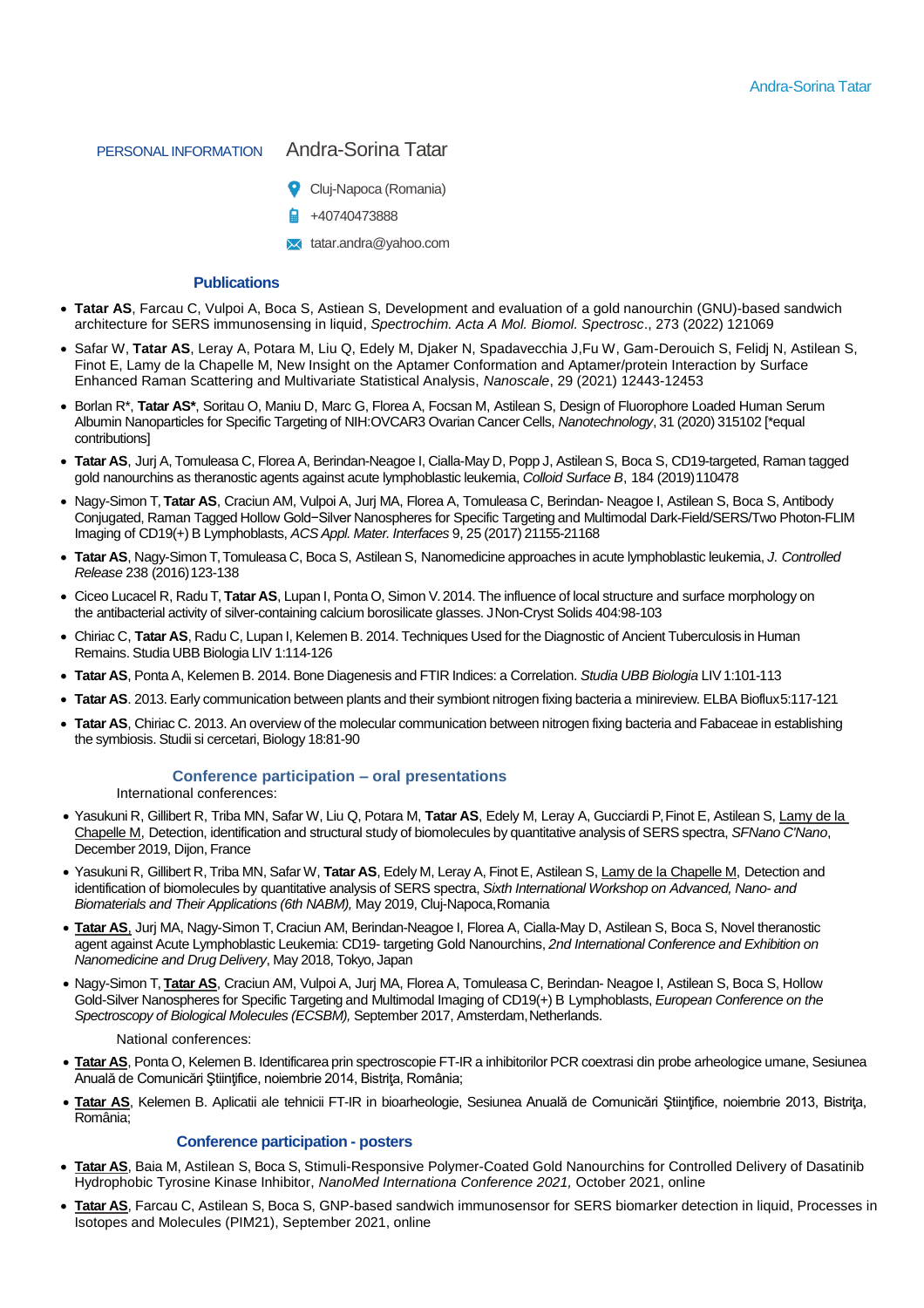# PERSONAL INFORMATION Andra-Sorina Tatar

- 
- Cluj-Napoca (Romania)
- +40740473888
- **X** [tatar.andra@yahoo.com](mailto:tatar.andra@yahoo.com)

## **Publications**

- **Tatar AS**, Farcau C, Vulpoi A, Boca S, Astiean S, Development and evaluation of a gold nanourchin (GNU)-based sandwich architecture for SERS immunosensing in liquid, *Spectrochim. Acta A Mol. Biomol. Spectrosc*., 273 (2022) 121069
- Safar W, **Tatar AS**, Leray A, Potara M, Liu Q, Edely M, Djaker N, Spadavecchia J,Fu W, Gam-Derouich S, Felidj N, Astilean S, Finot E, Lamy de la Chapelle M, New Insight on the Aptamer Conformation and Aptamer/protein Interaction by Surface Enhanced Raman Scattering and Multivariate Statistical Analysis, *Nanoscale*, 29 (2021) 12443-12453
- Borlan R<sup>\*</sup>, Tatar AS<sup>\*</sup>, Soritau O, Maniu D, Marc G, Florea A, Focsan M, Astilean S, Design of Fluorophore Loaded Human Serum Albumin Nanoparticles for Specific Targeting of NIH:OVCAR3 Ovarian Cancer Cells, *Nanotechnology*, 31 (2020) 315102 [\*equal contributions]
- **Tatar AS**, Jurj A, Tomuleasa C, Florea A, Berindan-Neagoe I, Cialla-May D, Popp J, Astilean S, Boca S, CD19-targeted, Raman tagged gold nanourchins as theranostic agents against acute lymphoblastic leukemia, *Colloid Surface B*, 184 (2019)110478
- Nagy-Simon T, **Tatar AS**, Craciun AM, Vulpoi A, Jurj MA, Florea A, Tomuleasa C, Berindan- Neagoe I, Astilean S, Boca S, Antibody Conjugated, Raman Tagged Hollow Gold−Silver Nanospheres for Specific Targeting and Multimodal Dark-Field/SERS/Two Photon-FLIM Imaging of CD19(+) B Lymphoblasts, *ACS Appl. Mater. Interfaces* 9, 25 (2017) 21155-21168
- **Tatar AS**, Nagy-Simon T,Tomuleasa C, Boca S, Astilean S, Nanomedicine approaches in acute lymphoblastic leukemia, *J. Controlled Release* 238 (2016)123-138
- Ciceo Lucacel R, Radu T, **Tatar AS**, Lupan I, Ponta O, Simon V.2014. The influence of local structure and surface morphology on the antibacterial activity of silver-containing calcium borosilicate glasses. JNon-Cryst Solids 404:98-103
- Chiriac C, **Tatar AS**, Radu C, Lupan I, Kelemen B. 2014. Techniques Used for the Diagnostic of Ancient Tuberculosis in Human Remains. Studia UBB Biologia LIV 1:114-126
- **Tatar AS**, Ponta A, Kelemen B. 2014. Bone Diagenesis and FTIR Indices: a Correlation. *Studia UBB Biologia* LIV 1:101-113
- **Tatar AS**. 2013. Early communication between plants and their symbiont nitrogen fixing bacteria a minireview. ELBA Bioflux5:117-121
- **Tatar AS**, Chiriac C. 2013. An overview of the molecular communication between nitrogen fixing bacteria and Fabaceae in establishing the symbiosis. Studii si cercetari, Biology 18:81-90

## **Conference participation – oral presentations**

International conferences:

- Yasukuni R, Gillibert R, Triba MN, Safar W, Liu Q, Potara M, **Tatar AS**, Edely M, Leray A, Gucciardi P, Finot E, Astilean S, Lamy de la Chapelle M, Detection, identification and structural study of biomolecules by quantitative analysis of SERS spectra, *SFNano C'Nano*, December 2019, Dijon, France
- Yasukuni R, Gillibert R, Triba MN, Safar W, **Tatar AS**, Edely M, Leray A, Finot E, Astilean S, Lamy de la Chapelle M, Detection and identification of biomolecules by quantitative analysis of SERS spectra, *Sixth International Workshop on Advanced, Nano- and Biomaterials and Their Applications (6th NABM),* May 2019, Cluj-Napoca,Romania
- **Tatar AS**, Jurj MA, Nagy-Simon T, Craciun AM, Berindan-Neagoe I, Florea A, Cialla-May D, Astilean S, Boca S, Novel theranostic agent against Acute Lymphoblastic Leukemia: CD19- targeting Gold Nanourchins, *2nd International Conference and Exhibition on Nanomedicine and Drug Delivery*, May 2018, Tokyo, Japan
- Nagy-Simon T, **Tatar AS**, Craciun AM, Vulpoi A, Jurj MA, Florea A, Tomuleasa C, Berindan- Neagoe I, Astilean S, Boca S, Hollow Gold-Silver Nanospheres for Specific Targeting and Multimodal Imaging of CD19(+) B Lymphoblasts, *European Conference on the*  Spectroscopy of Biological Molecules (ECSBM), September 2017, Amsterdam, Netherlands.

#### National conferences:

- **Tatar AS**, Ponta O, Kelemen B. Identificarea prin spectroscopie FT-IR a inhibitorilor PCR coextrasi din probe arheologice umane, Sesiunea Anuală de Comunicări Ştiinţifice, noiembrie 2014, Bistriţa, România;
- **Tatar AS**, Kelemen B. Aplicatii ale tehnicii FT-IR in bioarheologie, Sesiunea Anuală de Comunicări Stiințifice, noiembrie 2013, Bistrita, România;

#### **Conference participation - posters**

- **Tatar AS**, Baia M, Astilean S, Boca S, Stimuli-Responsive Polymer-Coated Gold Nanourchins for Controlled Delivery of Dasatinib Hydrophobic Tyrosine Kinase Inhibitor, *NanoMed Internationa Conference 2021,* October 2021, online
- **Tatar AS**, Farcau C, Astilean S, Boca S, GNP-based sandwich immunosensor for SERS biomarker detection in liquid, Processes in Isotopes and Molecules (PIM21), September 2021, online